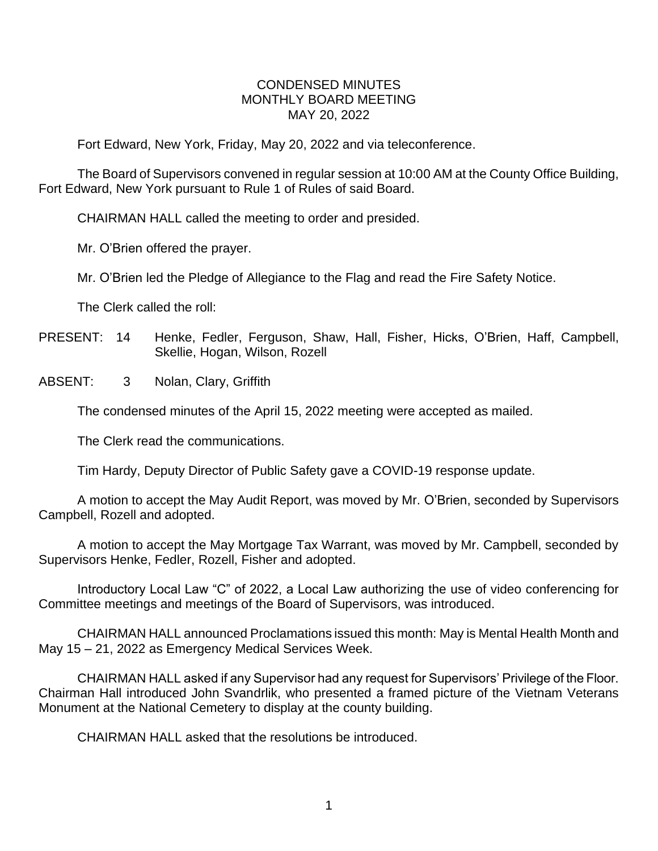## CONDENSED MINUTES MONTHLY BOARD MEETING MAY 20, 2022

Fort Edward, New York, Friday, May 20, 2022 and via teleconference.

The Board of Supervisors convened in regular session at 10:00 AM at the County Office Building, Fort Edward, New York pursuant to Rule 1 of Rules of said Board.

CHAIRMAN HALL called the meeting to order and presided.

Mr. O'Brien offered the prayer.

Mr. O'Brien led the Pledge of Allegiance to the Flag and read the Fire Safety Notice.

The Clerk called the roll:

- PRESENT: 14 Henke, Fedler, Ferguson, Shaw, Hall, Fisher, Hicks, O'Brien, Haff, Campbell, Skellie, Hogan, Wilson, Rozell
- ABSENT: 3 Nolan, Clary, Griffith

The condensed minutes of the April 15, 2022 meeting were accepted as mailed.

The Clerk read the communications.

Tim Hardy, Deputy Director of Public Safety gave a COVID-19 response update.

A motion to accept the May Audit Report, was moved by Mr. O'Brien, seconded by Supervisors Campbell, Rozell and adopted.

A motion to accept the May Mortgage Tax Warrant, was moved by Mr. Campbell, seconded by Supervisors Henke, Fedler, Rozell, Fisher and adopted.

Introductory Local Law "C" of 2022, a Local Law authorizing the use of video conferencing for Committee meetings and meetings of the Board of Supervisors, was introduced.

CHAIRMAN HALL announced Proclamations issued this month: May is Mental Health Month and May 15 – 21, 2022 as Emergency Medical Services Week.

CHAIRMAN HALL asked if any Supervisor had any request for Supervisors' Privilege of the Floor. Chairman Hall introduced John Svandrlik, who presented a framed picture of the Vietnam Veterans Monument at the National Cemetery to display at the county building.

CHAIRMAN HALL asked that the resolutions be introduced.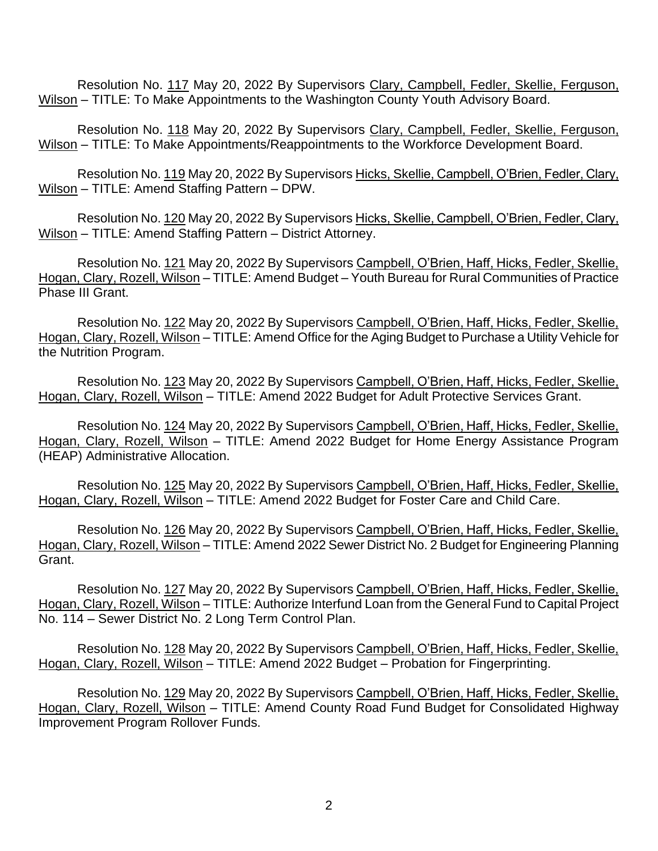Resolution No. 117 May 20, 2022 By Supervisors Clary, Campbell, Fedler, Skellie, Ferguson, Wilson – TITLE: To Make Appointments to the Washington County Youth Advisory Board.

Resolution No. 118 May 20, 2022 By Supervisors Clary, Campbell, Fedler, Skellie, Ferguson, Wilson – TITLE: To Make Appointments/Reappointments to the Workforce Development Board.

Resolution No. 119 May 20, 2022 By Supervisors Hicks, Skellie, Campbell, O'Brien, Fedler, Clary, Wilson – TITLE: Amend Staffing Pattern – DPW.

Resolution No. 120 May 20, 2022 By Supervisors Hicks, Skellie, Campbell, O'Brien, Fedler, Clary, Wilson – TITLE: Amend Staffing Pattern – District Attorney.

Resolution No. 121 May 20, 2022 By Supervisors Campbell, O'Brien, Haff, Hicks, Fedler, Skellie, Hogan, Clary, Rozell, Wilson – TITLE: Amend Budget – Youth Bureau for Rural Communities of Practice Phase III Grant.

Resolution No. 122 May 20, 2022 By Supervisors Campbell, O'Brien, Haff, Hicks, Fedler, Skellie, Hogan, Clary, Rozell, Wilson – TITLE: Amend Office for the Aging Budget to Purchase a Utility Vehicle for the Nutrition Program.

Resolution No. 123 May 20, 2022 By Supervisors Campbell, O'Brien, Haff, Hicks, Fedler, Skellie, Hogan, Clary, Rozell, Wilson – TITLE: Amend 2022 Budget for Adult Protective Services Grant.

Resolution No. 124 May 20, 2022 By Supervisors Campbell, O'Brien, Haff, Hicks, Fedler, Skellie, Hogan, Clary, Rozell, Wilson – TITLE: Amend 2022 Budget for Home Energy Assistance Program (HEAP) Administrative Allocation.

Resolution No. 125 May 20, 2022 By Supervisors Campbell, O'Brien, Haff, Hicks, Fedler, Skellie, Hogan, Clary, Rozell, Wilson – TITLE: Amend 2022 Budget for Foster Care and Child Care.

Resolution No. 126 May 20, 2022 By Supervisors Campbell, O'Brien, Haff, Hicks, Fedler, Skellie, Hogan, Clary, Rozell, Wilson – TITLE: Amend 2022 Sewer District No. 2 Budget for Engineering Planning Grant.

Resolution No. 127 May 20, 2022 By Supervisors Campbell, O'Brien, Haff, Hicks, Fedler, Skellie, Hogan, Clary, Rozell, Wilson – TITLE: Authorize Interfund Loan from the General Fund to Capital Project No. 114 – Sewer District No. 2 Long Term Control Plan.

Resolution No. 128 May 20, 2022 By Supervisors Campbell, O'Brien, Haff, Hicks, Fedler, Skellie, Hogan, Clary, Rozell, Wilson – TITLE: Amend 2022 Budget – Probation for Fingerprinting.

Resolution No. 129 May 20, 2022 By Supervisors Campbell, O'Brien, Haff, Hicks, Fedler, Skellie, Hogan, Clary, Rozell, Wilson – TITLE: Amend County Road Fund Budget for Consolidated Highway Improvement Program Rollover Funds.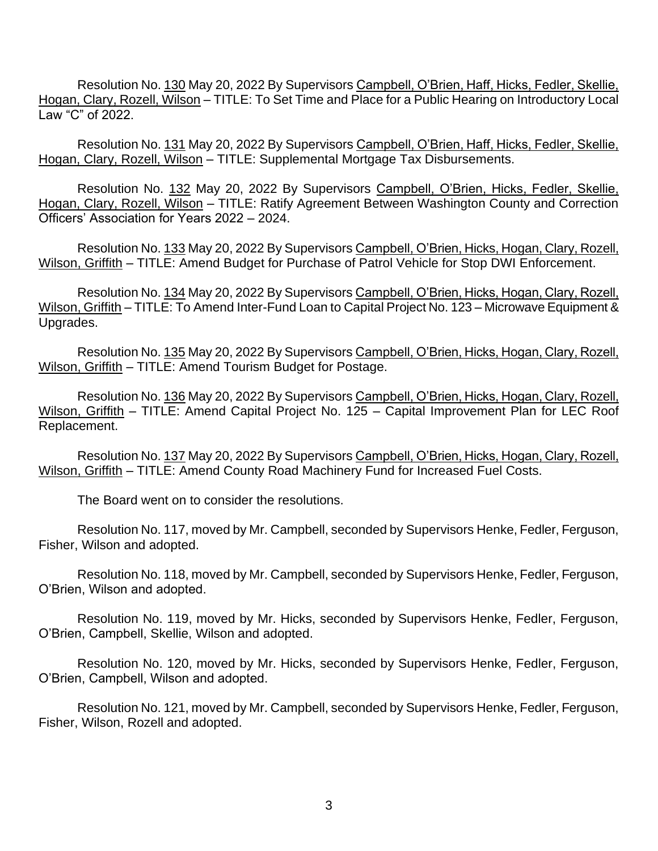Resolution No. 130 May 20, 2022 By Supervisors Campbell, O'Brien, Haff, Hicks, Fedler, Skellie, Hogan, Clary, Rozell, Wilson – TITLE: To Set Time and Place for a Public Hearing on Introductory Local Law "C" of 2022.

Resolution No. 131 May 20, 2022 By Supervisors Campbell, O'Brien, Haff, Hicks, Fedler, Skellie, Hogan, Clary, Rozell, Wilson – TITLE: Supplemental Mortgage Tax Disbursements.

Resolution No. 132 May 20, 2022 By Supervisors Campbell, O'Brien, Hicks, Fedler, Skellie, Hogan, Clary, Rozell, Wilson – TITLE: Ratify Agreement Between Washington County and Correction Officers' Association for Years 2022 – 2024.

Resolution No. 133 May 20, 2022 By Supervisors Campbell, O'Brien, Hicks, Hogan, Clary, Rozell, Wilson, Griffith – TITLE: Amend Budget for Purchase of Patrol Vehicle for Stop DWI Enforcement.

Resolution No. 134 May 20, 2022 By Supervisors Campbell, O'Brien, Hicks, Hogan, Clary, Rozell, Wilson, Griffith – TITLE: To Amend Inter-Fund Loan to Capital Project No. 123 – Microwave Equipment & Upgrades.

Resolution No. 135 May 20, 2022 By Supervisors Campbell, O'Brien, Hicks, Hogan, Clary, Rozell, Wilson, Griffith – TITLE: Amend Tourism Budget for Postage.

Resolution No. 136 May 20, 2022 By Supervisors Campbell, O'Brien, Hicks, Hogan, Clary, Rozell, Wilson, Griffith – TITLE: Amend Capital Project No. 125 – Capital Improvement Plan for LEC Roof Replacement.

Resolution No. 137 May 20, 2022 By Supervisors Campbell, O'Brien, Hicks, Hogan, Clary, Rozell, Wilson, Griffith – TITLE: Amend County Road Machinery Fund for Increased Fuel Costs.

The Board went on to consider the resolutions.

Resolution No. 117, moved by Mr. Campbell, seconded by Supervisors Henke, Fedler, Ferguson, Fisher, Wilson and adopted.

Resolution No. 118, moved by Mr. Campbell, seconded by Supervisors Henke, Fedler, Ferguson, O'Brien, Wilson and adopted.

Resolution No. 119, moved by Mr. Hicks, seconded by Supervisors Henke, Fedler, Ferguson, O'Brien, Campbell, Skellie, Wilson and adopted.

Resolution No. 120, moved by Mr. Hicks, seconded by Supervisors Henke, Fedler, Ferguson, O'Brien, Campbell, Wilson and adopted.

Resolution No. 121, moved by Mr. Campbell, seconded by Supervisors Henke, Fedler, Ferguson, Fisher, Wilson, Rozell and adopted.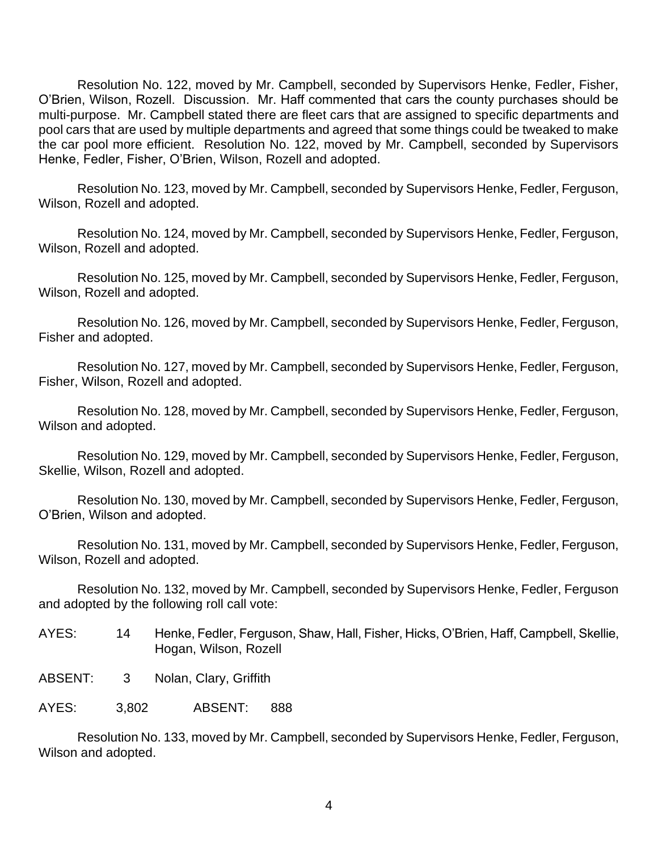Resolution No. 122, moved by Mr. Campbell, seconded by Supervisors Henke, Fedler, Fisher, O'Brien, Wilson, Rozell. Discussion. Mr. Haff commented that cars the county purchases should be multi-purpose. Mr. Campbell stated there are fleet cars that are assigned to specific departments and pool cars that are used by multiple departments and agreed that some things could be tweaked to make the car pool more efficient. Resolution No. 122, moved by Mr. Campbell, seconded by Supervisors Henke, Fedler, Fisher, O'Brien, Wilson, Rozell and adopted.

Resolution No. 123, moved by Mr. Campbell, seconded by Supervisors Henke, Fedler, Ferguson, Wilson, Rozell and adopted.

Resolution No. 124, moved by Mr. Campbell, seconded by Supervisors Henke, Fedler, Ferguson, Wilson, Rozell and adopted.

Resolution No. 125, moved by Mr. Campbell, seconded by Supervisors Henke, Fedler, Ferguson, Wilson, Rozell and adopted.

Resolution No. 126, moved by Mr. Campbell, seconded by Supervisors Henke, Fedler, Ferguson, Fisher and adopted.

Resolution No. 127, moved by Mr. Campbell, seconded by Supervisors Henke, Fedler, Ferguson, Fisher, Wilson, Rozell and adopted.

Resolution No. 128, moved by Mr. Campbell, seconded by Supervisors Henke, Fedler, Ferguson, Wilson and adopted.

Resolution No. 129, moved by Mr. Campbell, seconded by Supervisors Henke, Fedler, Ferguson, Skellie, Wilson, Rozell and adopted.

Resolution No. 130, moved by Mr. Campbell, seconded by Supervisors Henke, Fedler, Ferguson, O'Brien, Wilson and adopted.

Resolution No. 131, moved by Mr. Campbell, seconded by Supervisors Henke, Fedler, Ferguson, Wilson, Rozell and adopted.

Resolution No. 132, moved by Mr. Campbell, seconded by Supervisors Henke, Fedler, Ferguson and adopted by the following roll call vote:

- AYES: 14 Henke, Fedler, Ferguson, Shaw, Hall, Fisher, Hicks, O'Brien, Haff, Campbell, Skellie, Hogan, Wilson, Rozell
- ABSENT: 3 Nolan, Clary, Griffith

AYES: 3,802 ABSENT: 888

Resolution No. 133, moved by Mr. Campbell, seconded by Supervisors Henke, Fedler, Ferguson, Wilson and adopted.